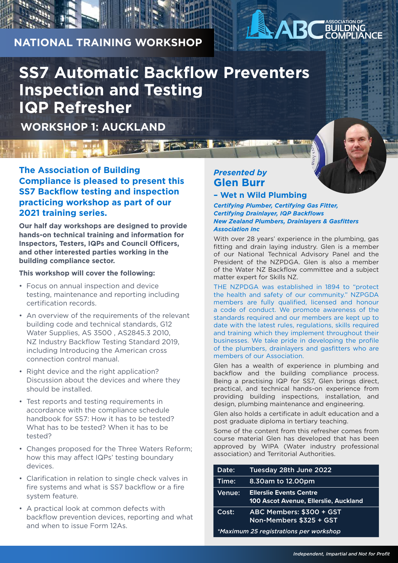# **NATIONAL TRAINING WORKSHOP**

# **SS7 Automatic Backflow Preventers Inspection and Testing IQP Refresher**

**Program Francis Towns** 

**WORKSHOP 1: AUCKLAND**

**The Association of Building Compliance is pleased to present this SS7 Backflow testing and inspection practicing workshop as part of our 2021 training series.**

**Our half day workshops are designed to provide hands-on technical training and information for Inspectors, Testers, IQPs and Council Officers, and other interested parties working in the building compliance sector.**

### **This workshop will cover the following:**

- Focus on annual inspection and device testing, maintenance and reporting including certification records.
- An overview of the requirements of the relevant building code and technical standards, G12 Water Supplies, AS 3500 , AS2845.3 2010, NZ Industry Backflow Testing Standard 2019, including Introducing the American cross connection control manual.
- Right device and the right application? Discussion about the devices and where they should be installed.
- Test reports and testing requirements in accordance with the compliance schedule handbook for SS7: How it has to be tested? What has to be tested? When it has to be tested?
- Changes proposed for the Three Waters Reform; how this may affect IQPs' testing boundary devices.
- Clarification in relation to single check valves in fire systems and what is SS7 backflow or a fire system feature.
- A practical look at common defects with backflow prevention devices, reporting and what and when to issue Form 12As.

## *Presented by*  **Glen Burr**

### **– Wet n Wild Plumbing**

#### *Certifying Plumber, Certifying Gas Fitter, Certifying Drainlayer, IQP Backflows New Zealand Plumbers, Drainlayers & Gasfitters Association Inc*

With over 28 years' experience in the plumbing, gas fitting and drain laying industry. Glen is a member of our National Technical Advisory Panel and the President of the NZPDGA. Glen is also a member of the Water NZ Backflow committee and a subject matter expert for Skills NZ.

**ASSOCIATION OF BUILDING COMPLIANCE**

THE NZPDGA was established in 1894 to "protect the health and safety of our community." NZPGDA members are fully qualified, licensed and honour a code of conduct. We promote awareness of the standards required and our members are kept up to date with the latest rules, regulations, skills required and training which they implement throughout their businesses. We take pride in developing the profile of the plumbers, drainlayers and gasfitters who are members of our Association.

Glen has a wealth of experience in plumbing and backflow and the building compliance process. Being a practising IQP for SS7, Glen brings direct, practical, and technical hands-on experience from providing building inspections, installation, and design, plumbing maintenance and engineering.

Glen also holds a certificate in adult education and a post graduate diploma in tertiary teaching.

Some of the content from this refresher comes from course material Glen has developed that has been approved by WIPA (Water industry professional association) and Territorial Authorities.

| Date:                                  | Tuesday 28th June 2022                                                         |
|----------------------------------------|--------------------------------------------------------------------------------|
| Time:                                  | 8.30am to 12.00pm                                                              |
| Venue:                                 | <b>Ellerslie Events Centre</b><br><b>100 Ascot Avenue, Ellerslie, Auckland</b> |
| Cost:                                  | ABC Members: \$300 + GST<br>Non-Members \$325 + GST                            |
| *Maximum 25 registrations per workshop |                                                                                |